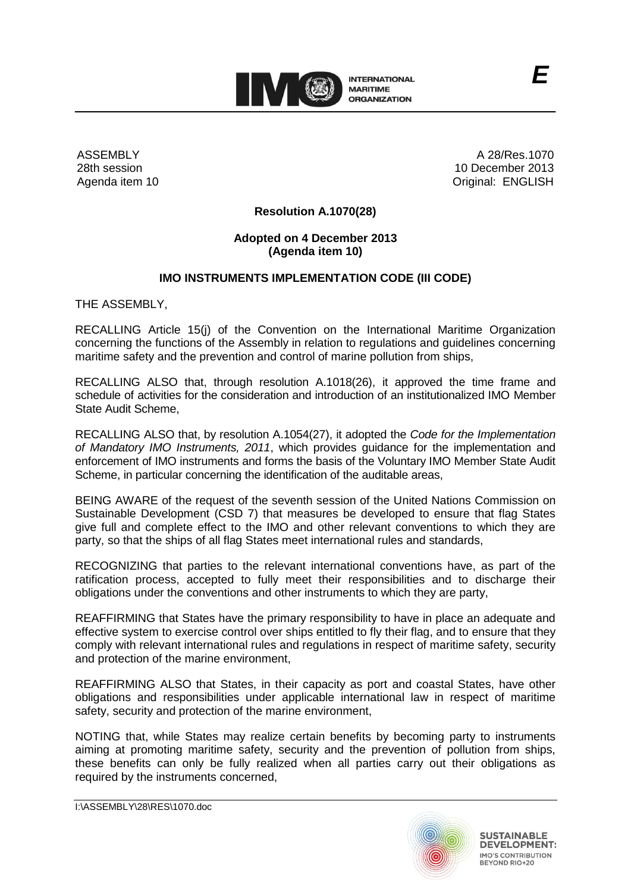

ASSEMBLY 28th session Agenda item 10

A 28/Res.1070 10 December 2013 Original: ENGLISH

*E*

# **Resolution A.1070(28)**

# **Adopted on 4 December 2013 (Agenda item 10)**

# **IMO INSTRUMENTS IMPLEMENTATION CODE (III CODE)**

THE ASSEMBLY,

RECALLING Article 15(j) of the Convention on the International Maritime Organization concerning the functions of the Assembly in relation to regulations and guidelines concerning maritime safety and the prevention and control of marine pollution from ships,

RECALLING ALSO that, through resolution A.1018(26), it approved the time frame and schedule of activities for the consideration and introduction of an institutionalized IMO Member State Audit Scheme,

RECALLING ALSO that, by resolution A.1054(27), it adopted the *Code for the Implementation of Mandatory IMO Instruments, 2011*, which provides guidance for the implementation and enforcement of IMO instruments and forms the basis of the Voluntary IMO Member State Audit Scheme, in particular concerning the identification of the auditable areas,

BEING AWARE of the request of the seventh session of the United Nations Commission on Sustainable Development (CSD 7) that measures be developed to ensure that flag States give full and complete effect to the IMO and other relevant conventions to which they are party, so that the ships of all flag States meet international rules and standards,

RECOGNIZING that parties to the relevant international conventions have, as part of the ratification process, accepted to fully meet their responsibilities and to discharge their obligations under the conventions and other instruments to which they are party,

REAFFIRMING that States have the primary responsibility to have in place an adequate and effective system to exercise control over ships entitled to fly their flag, and to ensure that they comply with relevant international rules and regulations in respect of maritime safety, security and protection of the marine environment,

REAFFIRMING ALSO that States, in their capacity as port and coastal States, have other obligations and responsibilities under applicable international law in respect of maritime safety, security and protection of the marine environment,

NOTING that, while States may realize certain benefits by becoming party to instruments aiming at promoting maritime safety, security and the prevention of pollution from ships, these benefits can only be fully realized when all parties carry out their obligations as required by the instruments concerned,



I:\ASSEMBLY\28\RES\1070.doc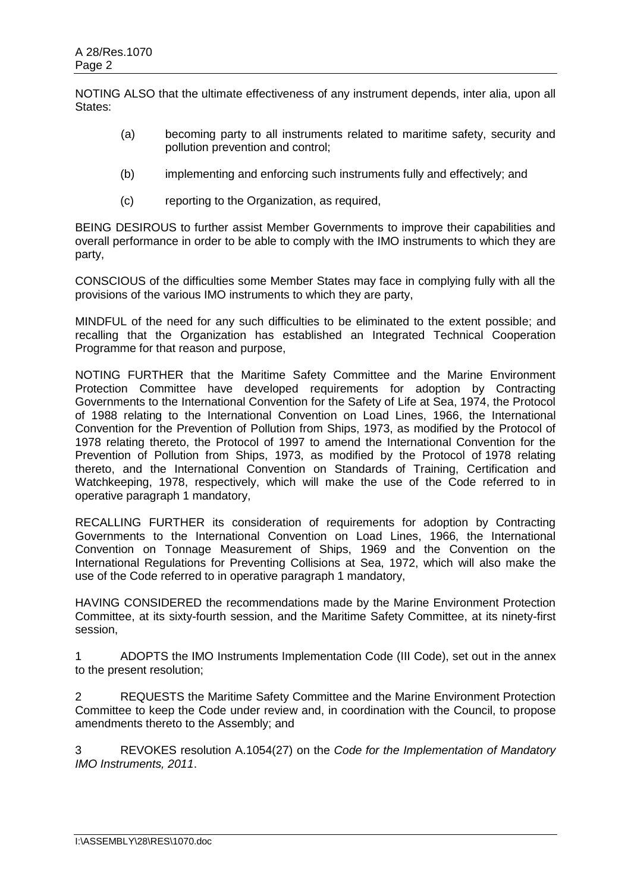NOTING ALSO that the ultimate effectiveness of any instrument depends, inter alia, upon all States:

- (a) becoming party to all instruments related to maritime safety, security and pollution prevention and control;
- (b) implementing and enforcing such instruments fully and effectively; and
- (c) reporting to the Organization, as required,

BEING DESIROUS to further assist Member Governments to improve their capabilities and overall performance in order to be able to comply with the IMO instruments to which they are party,

CONSCIOUS of the difficulties some Member States may face in complying fully with all the provisions of the various IMO instruments to which they are party,

MINDFUL of the need for any such difficulties to be eliminated to the extent possible; and recalling that the Organization has established an Integrated Technical Cooperation Programme for that reason and purpose,

NOTING FURTHER that the Maritime Safety Committee and the Marine Environment Protection Committee have developed requirements for adoption by Contracting Governments to the International Convention for the Safety of Life at Sea, 1974, the Protocol of 1988 relating to the International Convention on Load Lines, 1966, the International Convention for the Prevention of Pollution from Ships, 1973, as modified by the Protocol of 1978 relating thereto, the Protocol of 1997 to amend the International Convention for the Prevention of Pollution from Ships, 1973, as modified by the Protocol of 1978 relating thereto, and the International Convention on Standards of Training, Certification and Watchkeeping, 1978, respectively, which will make the use of the Code referred to in operative paragraph 1 mandatory,

RECALLING FURTHER its consideration of requirements for adoption by Contracting Governments to the International Convention on Load Lines, 1966, the International Convention on Tonnage Measurement of Ships, 1969 and the Convention on the International Regulations for Preventing Collisions at Sea, 1972, which will also make the use of the Code referred to in operative paragraph 1 mandatory,

HAVING CONSIDERED the recommendations made by the Marine Environment Protection Committee, at its sixty-fourth session, and the Maritime Safety Committee, at its ninety-first session,

1 ADOPTS the IMO Instruments Implementation Code (III Code), set out in the annex to the present resolution;

2 REQUESTS the Maritime Safety Committee and the Marine Environment Protection Committee to keep the Code under review and, in coordination with the Council, to propose amendments thereto to the Assembly; and

3 REVOKES resolution A.1054(27) on the *Code for the Implementation of Mandatory IMO Instruments, 2011*.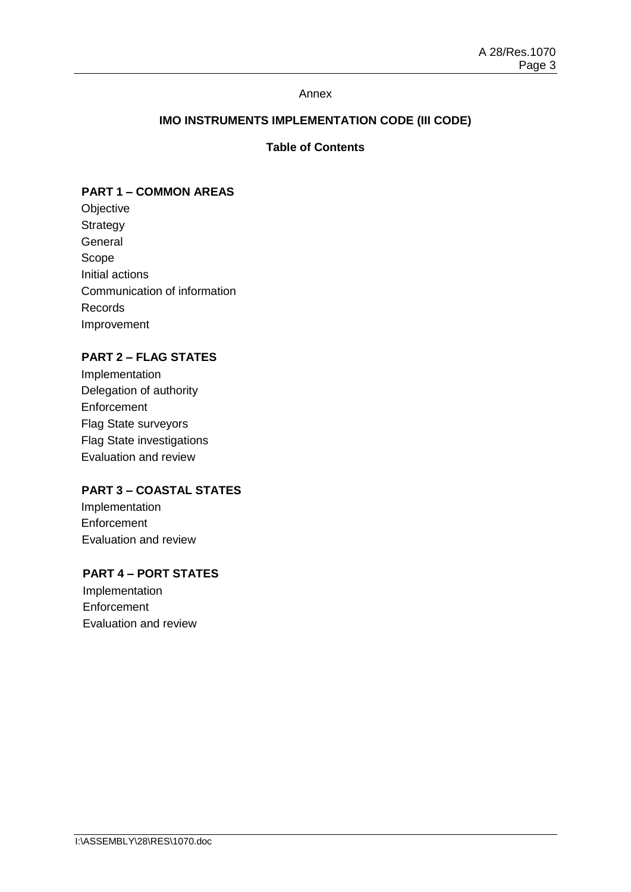### Annex

# **IMO INSTRUMENTS IMPLEMENTATION CODE (III CODE)**

# **Table of Contents**

### **PART 1 – COMMON AREAS**

**Objective Strategy** General Scope Initial actions Communication of information Records Improvement

# **PART 2 – FLAG STATES**

Implementation Delegation of authority **Enforcement** Flag State surveyors Flag State investigations Evaluation and review

# **PART 3 – COASTAL STATES**

Implementation **Enforcement** Evaluation and review

# **PART 4 – PORT STATES**

Implementation **Enforcement** Evaluation and review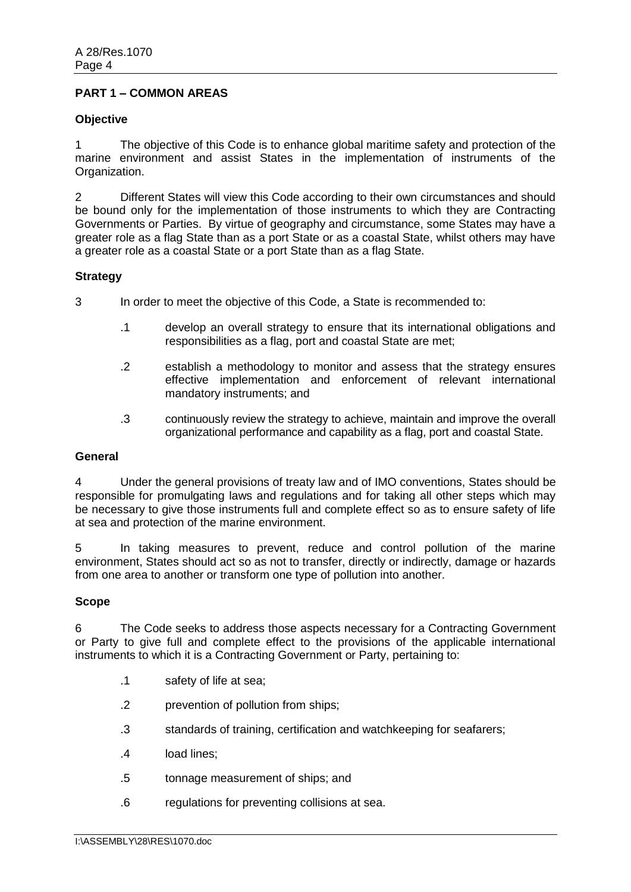## **PART 1 – COMMON AREAS**

#### **Objective**

1 The objective of this Code is to enhance global maritime safety and protection of the marine environment and assist States in the implementation of instruments of the Organization.

2 Different States will view this Code according to their own circumstances and should be bound only for the implementation of those instruments to which they are Contracting Governments or Parties. By virtue of geography and circumstance, some States may have a greater role as a flag State than as a port State or as a coastal State, whilst others may have a greater role as a coastal State or a port State than as a flag State.

### **Strategy**

3 In order to meet the objective of this Code, a State is recommended to:

- .1 develop an overall strategy to ensure that its international obligations and responsibilities as a flag, port and coastal State are met;
- .2 establish a methodology to monitor and assess that the strategy ensures effective implementation and enforcement of relevant international mandatory instruments; and
- .3 continuously review the strategy to achieve, maintain and improve the overall organizational performance and capability as a flag, port and coastal State.

#### **General**

4 Under the general provisions of treaty law and of IMO conventions, States should be responsible for promulgating laws and regulations and for taking all other steps which may be necessary to give those instruments full and complete effect so as to ensure safety of life at sea and protection of the marine environment.

5 In taking measures to prevent, reduce and control pollution of the marine environment, States should act so as not to transfer, directly or indirectly, damage or hazards from one area to another or transform one type of pollution into another.

#### **Scope**

6 The Code seeks to address those aspects necessary for a Contracting Government or Party to give full and complete effect to the provisions of the applicable international instruments to which it is a Contracting Government or Party, pertaining to:

- .1 safety of life at sea;
- .2 prevention of pollution from ships;
- .3 standards of training, certification and watchkeeping for seafarers;
- .4 load lines;
- .5 tonnage measurement of ships; and
- .6 regulations for preventing collisions at sea.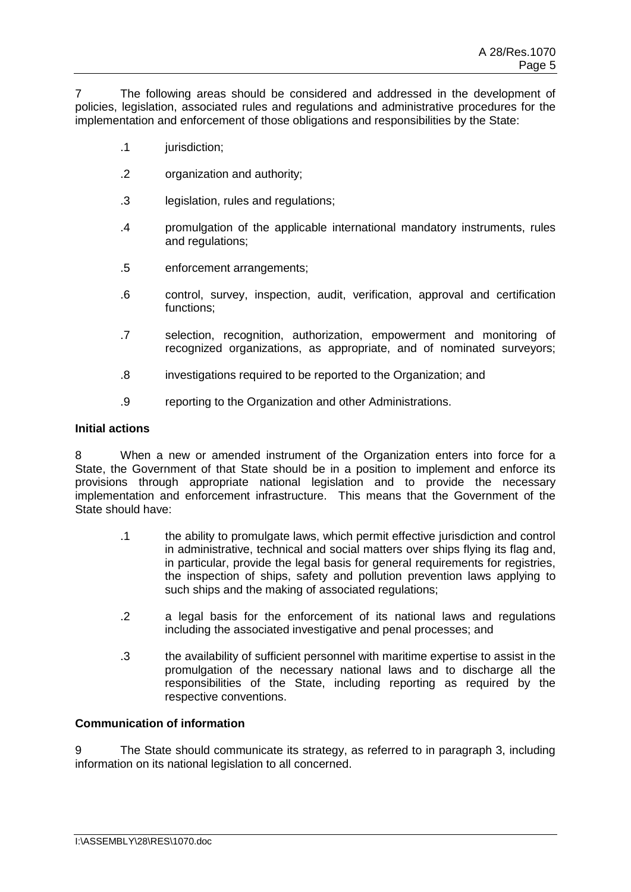7 The following areas should be considered and addressed in the development of policies, legislation, associated rules and regulations and administrative procedures for the implementation and enforcement of those obligations and responsibilities by the State:

- .1 jurisdiction;
- .2 organization and authority;
- .3 legislation, rules and regulations;
- .4 promulgation of the applicable international mandatory instruments, rules and regulations;
- .5 enforcement arrangements;
- .6 control, survey, inspection, audit, verification, approval and certification functions;
- .7 selection, recognition, authorization, empowerment and monitoring of recognized organizations, as appropriate, and of nominated surveyors;
- .8 investigations required to be reported to the Organization; and
- .9 reporting to the Organization and other Administrations.

#### **Initial actions**

8 When a new or amended instrument of the Organization enters into force for a State, the Government of that State should be in a position to implement and enforce its provisions through appropriate national legislation and to provide the necessary implementation and enforcement infrastructure. This means that the Government of the State should have:

- .1 the ability to promulgate laws, which permit effective jurisdiction and control in administrative, technical and social matters over ships flying its flag and, in particular, provide the legal basis for general requirements for registries, the inspection of ships, safety and pollution prevention laws applying to such ships and the making of associated regulations:
- .2 a legal basis for the enforcement of its national laws and regulations including the associated investigative and penal processes; and
- .3 the availability of sufficient personnel with maritime expertise to assist in the promulgation of the necessary national laws and to discharge all the responsibilities of the State, including reporting as required by the respective conventions.

# **Communication of information**

9 The State should communicate its strategy, as referred to in paragraph 3, including information on its national legislation to all concerned.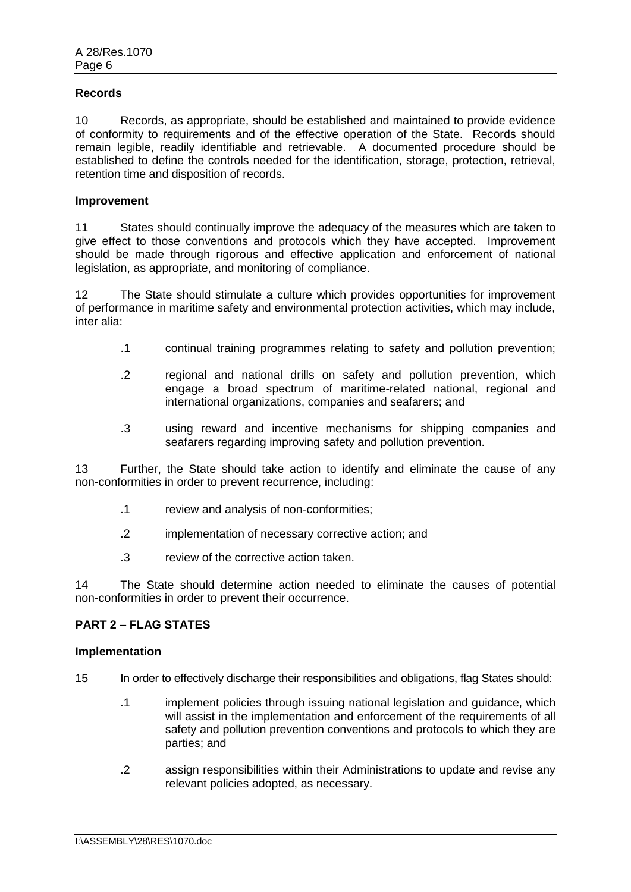### **Records**

10 Records, as appropriate, should be established and maintained to provide evidence of conformity to requirements and of the effective operation of the State. Records should remain legible, readily identifiable and retrievable. A documented procedure should be established to define the controls needed for the identification, storage, protection, retrieval, retention time and disposition of records.

#### **Improvement**

11 States should continually improve the adequacy of the measures which are taken to give effect to those conventions and protocols which they have accepted. Improvement should be made through rigorous and effective application and enforcement of national legislation, as appropriate, and monitoring of compliance.

12 The State should stimulate a culture which provides opportunities for improvement of performance in maritime safety and environmental protection activities, which may include, inter alia:

- .1 continual training programmes relating to safety and pollution prevention;
- .2 regional and national drills on safety and pollution prevention, which engage a broad spectrum of maritime-related national, regional and international organizations, companies and seafarers; and
- .3 using reward and incentive mechanisms for shipping companies and seafarers regarding improving safety and pollution prevention.

13 Further, the State should take action to identify and eliminate the cause of any non-conformities in order to prevent recurrence, including:

- .1 review and analysis of non-conformities;
- .2 implementation of necessary corrective action; and
- .3 review of the corrective action taken.

14 The State should determine action needed to eliminate the causes of potential non-conformities in order to prevent their occurrence.

# **PART 2 – FLAG STATES**

#### **Implementation**

- 15 In order to effectively discharge their responsibilities and obligations, flag States should:
	- .1 implement policies through issuing national legislation and guidance, which will assist in the implementation and enforcement of the requirements of all safety and pollution prevention conventions and protocols to which they are parties; and
	- .2 assign responsibilities within their Administrations to update and revise any relevant policies adopted, as necessary.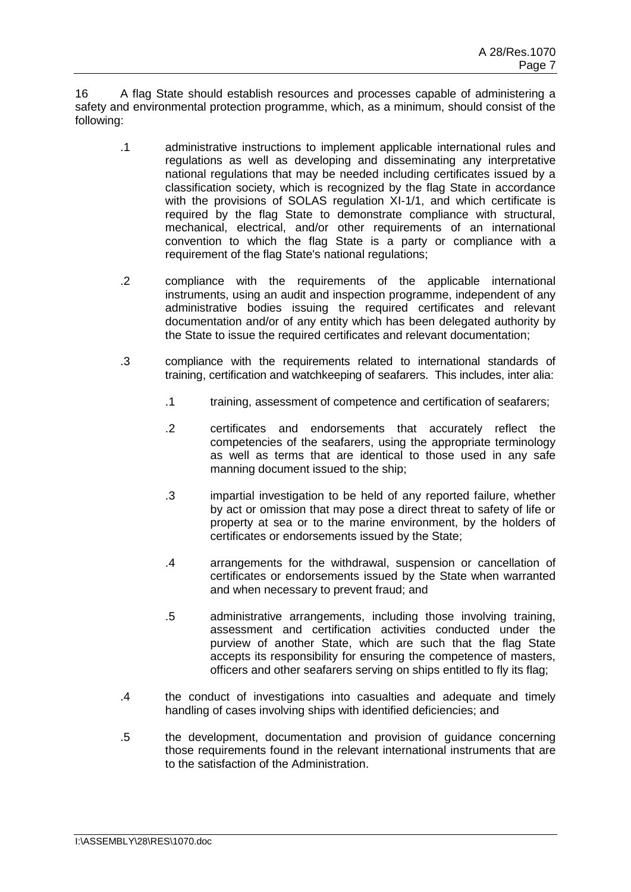16 A flag State should establish resources and processes capable of administering a safety and environmental protection programme, which, as a minimum, should consist of the following:

- .1 administrative instructions to implement applicable international rules and regulations as well as developing and disseminating any interpretative national regulations that may be needed including certificates issued by a classification society, which is recognized by the flag State in accordance with the provisions of SOLAS regulation XI-1/1, and which certificate is required by the flag State to demonstrate compliance with structural, mechanical, electrical, and/or other requirements of an international convention to which the flag State is a party or compliance with a requirement of the flag State's national regulations;
- .2 compliance with the requirements of the applicable international instruments, using an audit and inspection programme, independent of any administrative bodies issuing the required certificates and relevant documentation and/or of any entity which has been delegated authority by the State to issue the required certificates and relevant documentation;
- .3 compliance with the requirements related to international standards of training, certification and watchkeeping of seafarers. This includes, inter alia:
	- .1 training, assessment of competence and certification of seafarers;
	- .2 certificates and endorsements that accurately reflect the competencies of the seafarers, using the appropriate terminology as well as terms that are identical to those used in any safe manning document issued to the ship;
	- .3 impartial investigation to be held of any reported failure, whether by act or omission that may pose a direct threat to safety of life or property at sea or to the marine environment, by the holders of certificates or endorsements issued by the State;
	- .4 arrangements for the withdrawal, suspension or cancellation of certificates or endorsements issued by the State when warranted and when necessary to prevent fraud; and
	- .5 administrative arrangements, including those involving training, assessment and certification activities conducted under the purview of another State, which are such that the flag State accepts its responsibility for ensuring the competence of masters, officers and other seafarers serving on ships entitled to fly its flag;
- .4 the conduct of investigations into casualties and adequate and timely handling of cases involving ships with identified deficiencies; and
- .5 the development, documentation and provision of guidance concerning those requirements found in the relevant international instruments that are to the satisfaction of the Administration.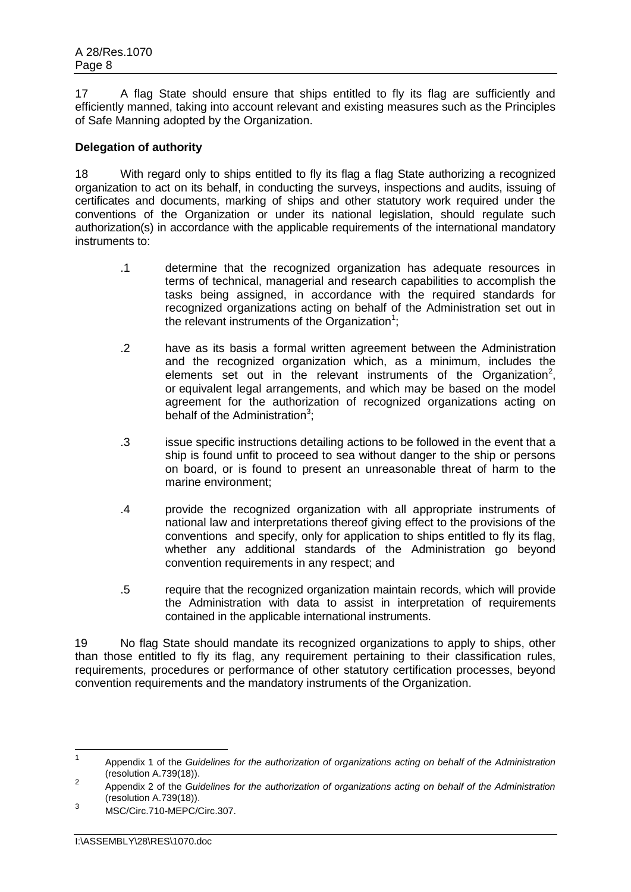17 A flag State should ensure that ships entitled to fly its flag are sufficiently and efficiently manned, taking into account relevant and existing measures such as the Principles of Safe Manning adopted by the Organization.

# **Delegation of authority**

18 With regard only to ships entitled to fly its flag a flag State authorizing a recognized organization to act on its behalf, in conducting the surveys, inspections and audits, issuing of certificates and documents, marking of ships and other statutory work required under the conventions of the Organization or under its national legislation, should regulate such authorization(s) in accordance with the applicable requirements of the international mandatory instruments to:

- .1 determine that the recognized organization has adequate resources in terms of technical, managerial and research capabilities to accomplish the tasks being assigned, in accordance with the required standards for recognized organizations acting on behalf of the Administration set out in the relevant instruments of the Organization<sup>1</sup>;
- .2 have as its basis a formal written agreement between the Administration and the recognized organization which, as a minimum, includes the elements set out in the relevant instruments of the Organization<sup>2</sup>, or equivalent legal arrangements, and which may be based on the model agreement for the authorization of recognized organizations acting on behalf of the Administration $3$ ;
- .3 issue specific instructions detailing actions to be followed in the event that a ship is found unfit to proceed to sea without danger to the ship or persons on board, or is found to present an unreasonable threat of harm to the marine environment;
- .4 provide the recognized organization with all appropriate instruments of national law and interpretations thereof giving effect to the provisions of the conventions and specify, only for application to ships entitled to fly its flag, whether any additional standards of the Administration go beyond convention requirements in any respect; and
- .5 require that the recognized organization maintain records, which will provide the Administration with data to assist in interpretation of requirements contained in the applicable international instruments.

19 No flag State should mandate its recognized organizations to apply to ships, other than those entitled to fly its flag, any requirement pertaining to their classification rules, requirements, procedures or performance of other statutory certification processes, beyond convention requirements and the mandatory instruments of the Organization.

 $\frac{1}{1}$ Appendix 1 of the *Guidelines for the authorization of organizations acting on behalf of the Administration*  (resolution A.739(18)).

<sup>2</sup> Appendix 2 of the *Guidelines for the authorization of organizations acting on behalf of the Administration* (resolution A.739(18)).

<sup>3</sup> MSC/Circ.710-MEPC/Circ.307.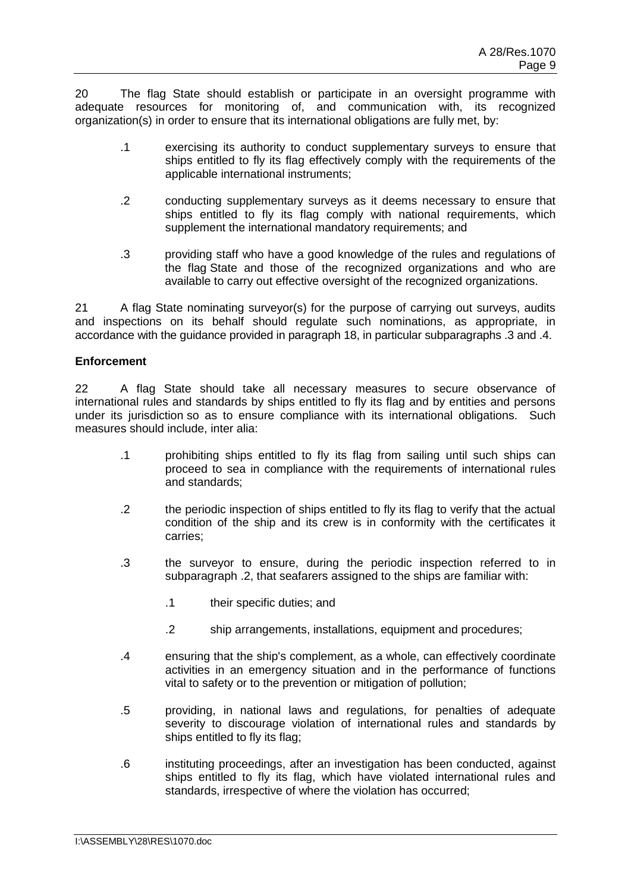20 The flag State should establish or participate in an oversight programme with adequate resources for monitoring of, and communication with, its recognized organization(s) in order to ensure that its international obligations are fully met, by:

- .1 exercising its authority to conduct supplementary surveys to ensure that ships entitled to fly its flag effectively comply with the requirements of the applicable international instruments;
- .2 conducting supplementary surveys as it deems necessary to ensure that ships entitled to fly its flag comply with national requirements, which supplement the international mandatory requirements; and
- .3 providing staff who have a good knowledge of the rules and regulations of the flag State and those of the recognized organizations and who are available to carry out effective oversight of the recognized organizations.

21 A flag State nominating surveyor(s) for the purpose of carrying out surveys, audits and inspections on its behalf should regulate such nominations, as appropriate, in accordance with the guidance provided in paragraph 18, in particular subparagraphs .3 and .4.

# **Enforcement**

22 A flag State should take all necessary measures to secure observance of international rules and standards by ships entitled to fly its flag and by entities and persons under its jurisdiction so as to ensure compliance with its international obligations. Such measures should include, inter alia:

- .1 prohibiting ships entitled to fly its flag from sailing until such ships can proceed to sea in compliance with the requirements of international rules and standards;
- .2 the periodic inspection of ships entitled to fly its flag to verify that the actual condition of the ship and its crew is in conformity with the certificates it carries;
- .3 the surveyor to ensure, during the periodic inspection referred to in subparagraph .2, that seafarers assigned to the ships are familiar with:
	- .1 their specific duties; and
	- .2 ship arrangements, installations, equipment and procedures;
- .4 ensuring that the ship's complement, as a whole, can effectively coordinate activities in an emergency situation and in the performance of functions vital to safety or to the prevention or mitigation of pollution;
- .5 providing, in national laws and regulations, for penalties of adequate severity to discourage violation of international rules and standards by ships entitled to fly its flag;
- .6 instituting proceedings, after an investigation has been conducted, against ships entitled to fly its flag, which have violated international rules and standards, irrespective of where the violation has occurred;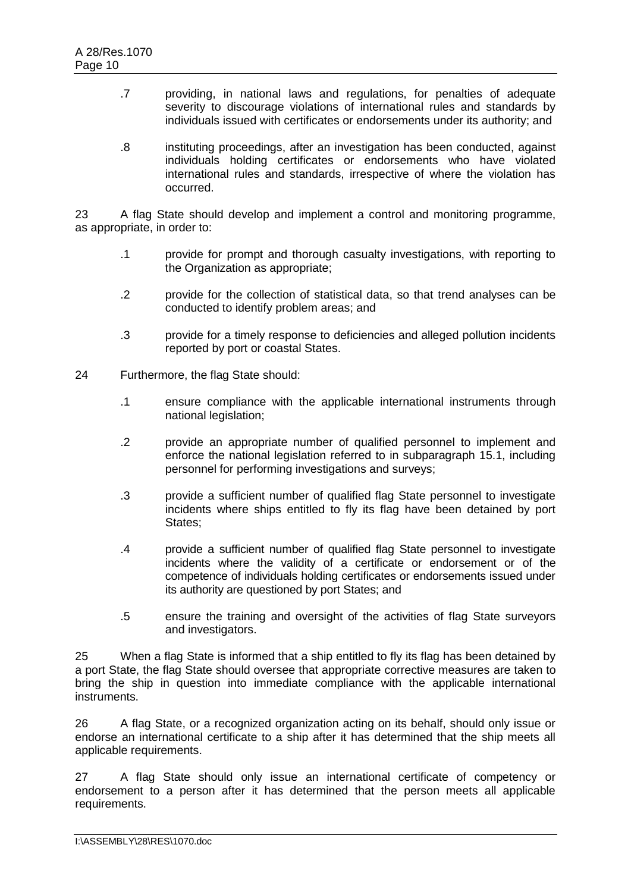- .7 providing, in national laws and regulations, for penalties of adequate severity to discourage violations of international rules and standards by individuals issued with certificates or endorsements under its authority; and
- .8 instituting proceedings, after an investigation has been conducted, against individuals holding certificates or endorsements who have violated international rules and standards, irrespective of where the violation has occurred.

23 A flag State should develop and implement a control and monitoring programme, as appropriate, in order to:

- .1 provide for prompt and thorough casualty investigations, with reporting to the Organization as appropriate;
- .2 provide for the collection of statistical data, so that trend analyses can be conducted to identify problem areas; and
- .3 provide for a timely response to deficiencies and alleged pollution incidents reported by port or coastal States.
- 24 Furthermore, the flag State should:
	- .1 ensure compliance with the applicable international instruments through national legislation;
	- .2 provide an appropriate number of qualified personnel to implement and enforce the national legislation referred to in subparagraph 15.1, including personnel for performing investigations and surveys;
	- .3 provide a sufficient number of qualified flag State personnel to investigate incidents where ships entitled to fly its flag have been detained by port States;
	- .4 provide a sufficient number of qualified flag State personnel to investigate incidents where the validity of a certificate or endorsement or of the competence of individuals holding certificates or endorsements issued under its authority are questioned by port States; and
	- .5 ensure the training and oversight of the activities of flag State surveyors and investigators.

25 When a flag State is informed that a ship entitled to fly its flag has been detained by a port State, the flag State should oversee that appropriate corrective measures are taken to bring the ship in question into immediate compliance with the applicable international instruments.

26 A flag State, or a recognized organization acting on its behalf, should only issue or endorse an international certificate to a ship after it has determined that the ship meets all applicable requirements.

27 A flag State should only issue an international certificate of competency or endorsement to a person after it has determined that the person meets all applicable requirements.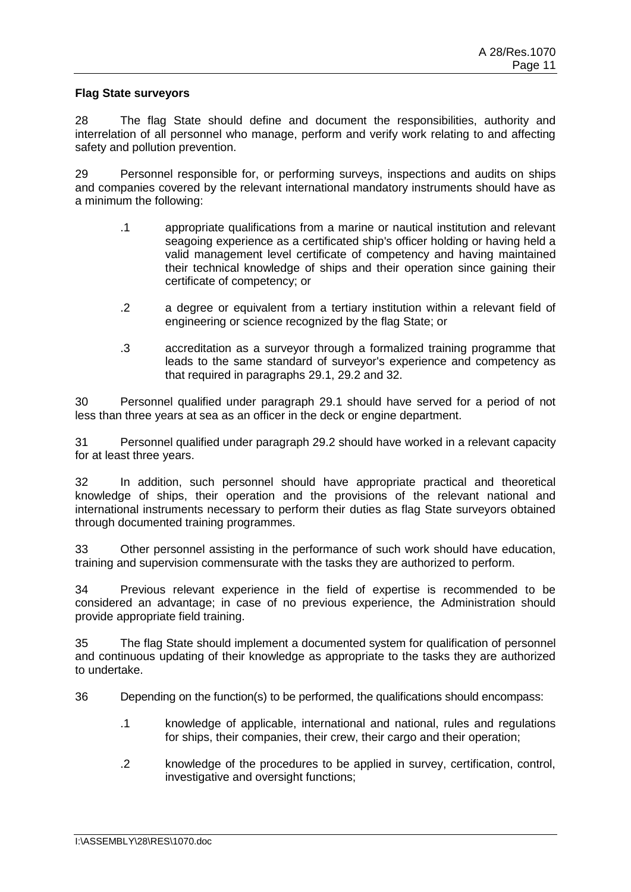### **Flag State surveyors**

28 The flag State should define and document the responsibilities, authority and interrelation of all personnel who manage, perform and verify work relating to and affecting safety and pollution prevention.

29 Personnel responsible for, or performing surveys, inspections and audits on ships and companies covered by the relevant international mandatory instruments should have as a minimum the following:

- .1 appropriate qualifications from a marine or nautical institution and relevant seagoing experience as a certificated ship's officer holding or having held a valid management level certificate of competency and having maintained their technical knowledge of ships and their operation since gaining their certificate of competency; or
- .2 a degree or equivalent from a tertiary institution within a relevant field of engineering or science recognized by the flag State; or
- .3 accreditation as a surveyor through a formalized training programme that leads to the same standard of surveyor's experience and competency as that required in paragraphs 29.1, 29.2 and 32.

30 Personnel qualified under paragraph 29.1 should have served for a period of not less than three years at sea as an officer in the deck or engine department.

31 Personnel qualified under paragraph 29.2 should have worked in a relevant capacity for at least three years.

32 In addition, such personnel should have appropriate practical and theoretical knowledge of ships, their operation and the provisions of the relevant national and international instruments necessary to perform their duties as flag State surveyors obtained through documented training programmes.

33 Other personnel assisting in the performance of such work should have education, training and supervision commensurate with the tasks they are authorized to perform.

34 Previous relevant experience in the field of expertise is recommended to be considered an advantage; in case of no previous experience, the Administration should provide appropriate field training.

35 The flag State should implement a documented system for qualification of personnel and continuous updating of their knowledge as appropriate to the tasks they are authorized to undertake.

36 Depending on the function(s) to be performed, the qualifications should encompass:

- .1 knowledge of applicable, international and national, rules and regulations for ships, their companies, their crew, their cargo and their operation;
- .2 knowledge of the procedures to be applied in survey, certification, control, investigative and oversight functions;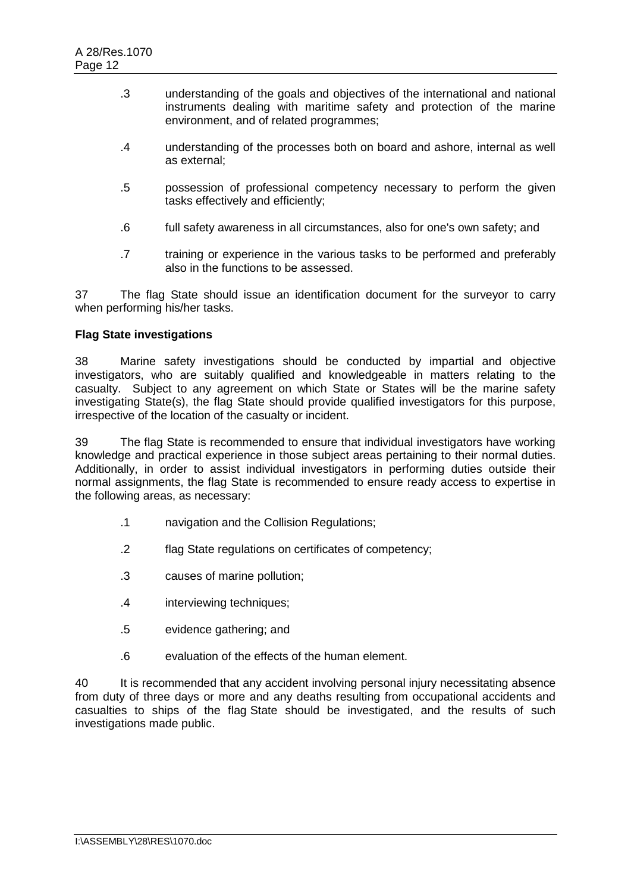- .3 understanding of the goals and objectives of the international and national instruments dealing with maritime safety and protection of the marine environment, and of related programmes;
- .4 understanding of the processes both on board and ashore, internal as well as external;
- .5 possession of professional competency necessary to perform the given tasks effectively and efficiently;
- .6 full safety awareness in all circumstances, also for one's own safety; and
- .7 training or experience in the various tasks to be performed and preferably also in the functions to be assessed.

37 The flag State should issue an identification document for the surveyor to carry when performing his/her tasks.

# **Flag State investigations**

38 Marine safety investigations should be conducted by impartial and objective investigators, who are suitably qualified and knowledgeable in matters relating to the casualty. Subject to any agreement on which State or States will be the marine safety investigating State(s), the flag State should provide qualified investigators for this purpose, irrespective of the location of the casualty or incident.

39 The flag State is recommended to ensure that individual investigators have working knowledge and practical experience in those subject areas pertaining to their normal duties. Additionally, in order to assist individual investigators in performing duties outside their normal assignments, the flag State is recommended to ensure ready access to expertise in the following areas, as necessary:

- .1 navigation and the Collision Regulations;
- .2 flag State regulations on certificates of competency;
- .3 causes of marine pollution;
- .4 interviewing techniques;
- .5 evidence gathering; and
- .6 evaluation of the effects of the human element.

40 It is recommended that any accident involving personal injury necessitating absence from duty of three days or more and any deaths resulting from occupational accidents and casualties to ships of the flag State should be investigated, and the results of such investigations made public.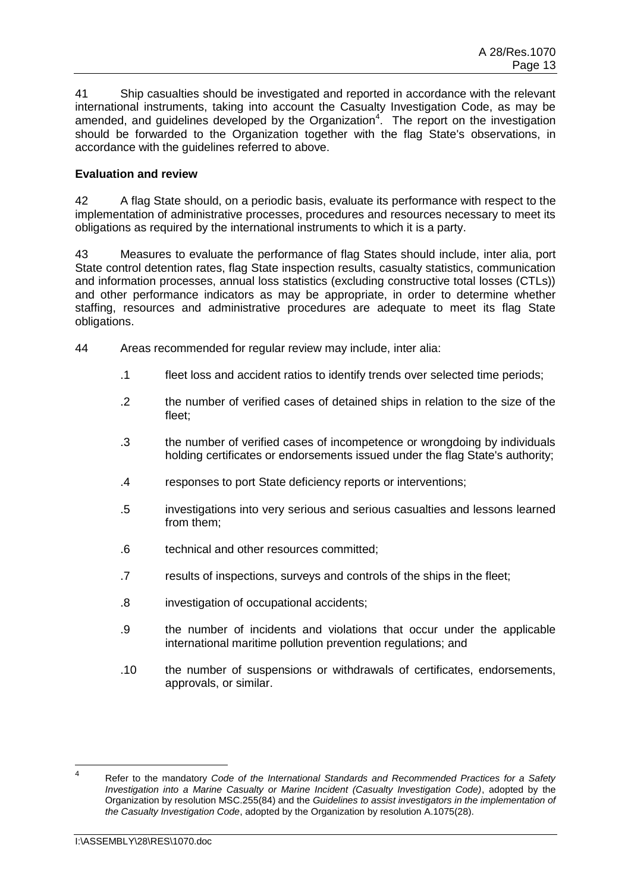41 Ship casualties should be investigated and reported in accordance with the relevant international instruments, taking into account the Casualty Investigation Code, as may be amended, and guidelines developed by the Organization<sup>4</sup>. The report on the investigation should be forwarded to the Organization together with the flag State's observations, in accordance with the guidelines referred to above.

# **Evaluation and review**

42 A flag State should, on a periodic basis, evaluate its performance with respect to the implementation of administrative processes, procedures and resources necessary to meet its obligations as required by the international instruments to which it is a party.

43 Measures to evaluate the performance of flag States should include, inter alia, port State control detention rates, flag State inspection results, casualty statistics, communication and information processes, annual loss statistics (excluding constructive total losses (CTLs)) and other performance indicators as may be appropriate, in order to determine whether staffing, resources and administrative procedures are adequate to meet its flag State obligations.

- 44 Areas recommended for regular review may include, inter alia:
	- .1 fleet loss and accident ratios to identify trends over selected time periods;
	- .2 the number of verified cases of detained ships in relation to the size of the fleet;
	- .3 the number of verified cases of incompetence or wrongdoing by individuals holding certificates or endorsements issued under the flag State's authority;
	- .4 responses to port State deficiency reports or interventions;
	- .5 investigations into very serious and serious casualties and lessons learned from them;
	- .6 technical and other resources committed;
	- .7 results of inspections, surveys and controls of the ships in the fleet;
	- .8 investigation of occupational accidents;
	- .9 the number of incidents and violations that occur under the applicable international maritime pollution prevention regulations; and
	- .10 the number of suspensions or withdrawals of certificates, endorsements, approvals, or similar.

 $\frac{1}{4}$ Refer to the mandatory *Code of the International Standards and Recommended Practices for a Safety Investigation into a Marine Casualty or Marine Incident (Casualty Investigation Code)*, adopted by the Organization by resolution MSC.255(84) and the *Guidelines to assist investigators in the implementation of the Casualty Investigation Code*, adopted by the Organization by resolution A.1075(28).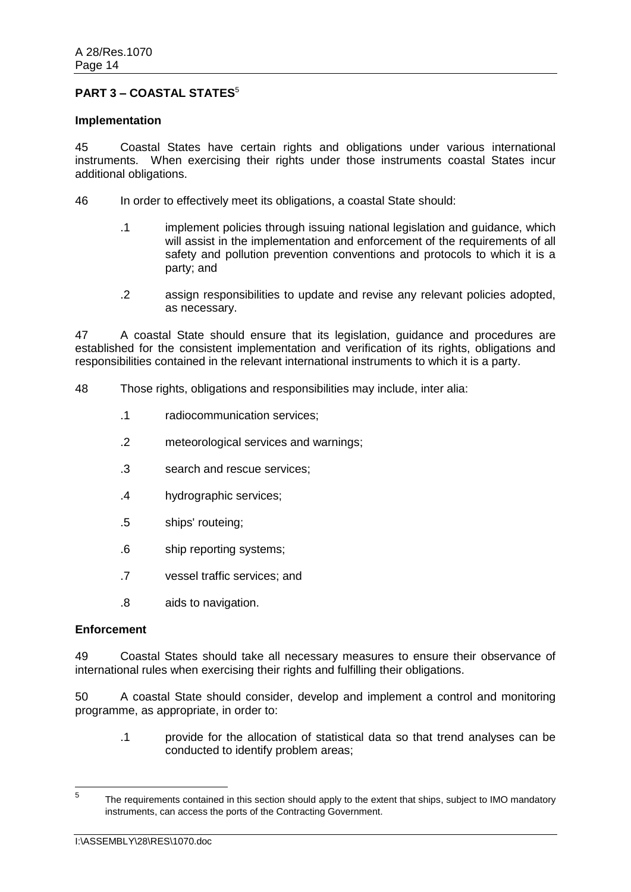# **PART 3 – COASTAL STATES<sup>5</sup>**

#### **Implementation**

45 Coastal States have certain rights and obligations under various international instruments. When exercising their rights under those instruments coastal States incur additional obligations.

46 In order to effectively meet its obligations, a coastal State should:

- .1 implement policies through issuing national legislation and guidance, which will assist in the implementation and enforcement of the requirements of all safety and pollution prevention conventions and protocols to which it is a party; and
- .2 assign responsibilities to update and revise any relevant policies adopted, as necessary.

47 A coastal State should ensure that its legislation, guidance and procedures are established for the consistent implementation and verification of its rights, obligations and responsibilities contained in the relevant international instruments to which it is a party.

- 48 Those rights, obligations and responsibilities may include, inter alia:
	- .1 radiocommunication services;
	- .2 meteorological services and warnings;
	- .3 search and rescue services;
	- .4 hydrographic services;
	- .5 ships' routeing;
	- .6 ship reporting systems;
	- .7 vessel traffic services; and
	- .8 aids to navigation.

#### **Enforcement**

49 Coastal States should take all necessary measures to ensure their observance of international rules when exercising their rights and fulfilling their obligations.

50 A coastal State should consider, develop and implement a control and monitoring programme, as appropriate, in order to:

.1 provide for the allocation of statistical data so that trend analyses can be conducted to identify problem areas;

<sup>—&</sup>lt;br>5 The requirements contained in this section should apply to the extent that ships, subject to IMO mandatory instruments, can access the ports of the Contracting Government.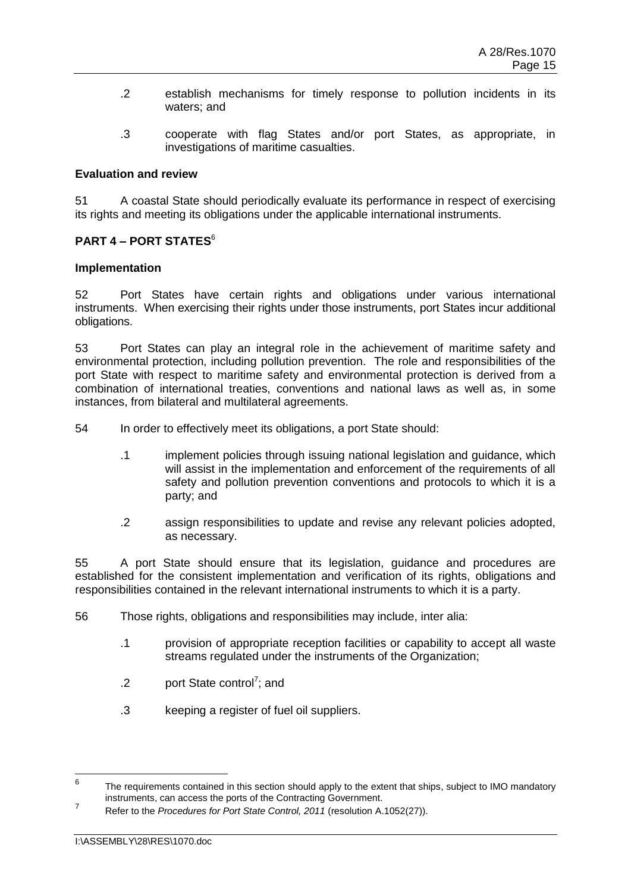- .2 establish mechanisms for timely response to pollution incidents in its waters; and
- .3 cooperate with flag States and/or port States, as appropriate, in investigations of maritime casualties.

### **Evaluation and review**

51 A coastal State should periodically evaluate its performance in respect of exercising its rights and meeting its obligations under the applicable international instruments.

# **PART 4 – PORT STATES**<sup>6</sup>

### **Implementation**

52 Port States have certain rights and obligations under various international instruments. When exercising their rights under those instruments, port States incur additional obligations.

53 Port States can play an integral role in the achievement of maritime safety and environmental protection, including pollution prevention. The role and responsibilities of the port State with respect to maritime safety and environmental protection is derived from a combination of international treaties, conventions and national laws as well as, in some instances, from bilateral and multilateral agreements.

54 In order to effectively meet its obligations, a port State should:

- .1 implement policies through issuing national legislation and guidance, which will assist in the implementation and enforcement of the requirements of all safety and pollution prevention conventions and protocols to which it is a party; and
- .2 assign responsibilities to update and revise any relevant policies adopted, as necessary.

55 A port State should ensure that its legislation, guidance and procedures are established for the consistent implementation and verification of its rights, obligations and responsibilities contained in the relevant international instruments to which it is a party.

- 56 Those rights, obligations and responsibilities may include, inter alia:
	- .1 provision of appropriate reception facilities or capability to accept all waste streams regulated under the instruments of the Organization:
	- .2 port State control<sup>7</sup>; and
	- .3 keeping a register of fuel oil suppliers.

<sup>—&</sup>lt;br>6 The requirements contained in this section should apply to the extent that ships, subject to IMO mandatory instruments, can access the ports of the Contracting Government. 7

Refer to the *Procedures for Port State Control, 2011* (resolution A.1052(27)).